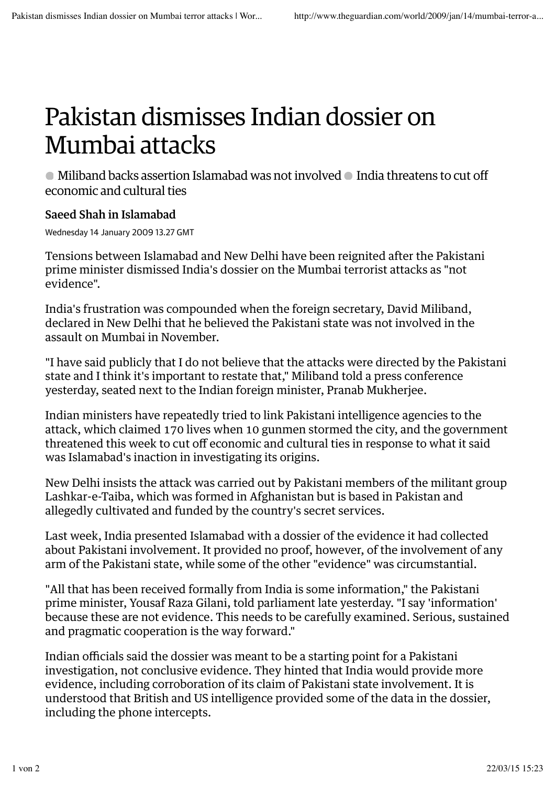## Pakistan dismisses Indian dossier on Mumbai attacks

• Miliband backs assertion Islamabad was not involved • India threatens to cut off economic and cultural ties

## Saeed Shah in Islamabad

Wednesday 14 January 2009 13.27 GMT

Tensions between Islamabad and New Delhi have been reignited after the Pakistani prime minister dismissed India's dossier on the Mumbai terrorist attacks as "not evidence".

India's frustration was compounded when the foreign secretary, David Miliband, declared in New Delhi that he believed the Pakistani state was not involved in the assault on Mumbai in November.

"I have said publicly that I do not believe that the attacks were directed by the Pakistani state and I think it's important to restate that," Miliband told a press conference yesterday, seated next to the Indian foreign minister, Pranab Mukherjee.

Indian ministers have repeatedly tried to link Pakistani intelligence agencies to the attack, which claimed 170 lives when 10 gunmen stormed the city, and the government threatened this week to cut off economic and cultural ties in response to what it said was Islamabad's inaction in investigating its origins.

New Delhi insists the attack was carried out by Pakistani members of the militant group Lashkar-e-Taiba, which was formed in Afghanistan but is based in Pakistan and allegedly cultivated and funded by the country's secret services.

Last week, India presented Islamabad with a dossier of the evidence it had collected about Pakistani involvement. It provided no proof, however, of the involvement of any arm of the Pakistani state, while some of the other "evidence" was circumstantial.

"All that has been received formally from India is some information," the Pakistani prime minister, Yousaf Raza Gilani, told parliament late yesterday. "I say 'information' because these are not evidence. This needs to be carefully examined. Serious, sustained and pragmatic cooperation is the way forward."

Indian officials said the dossier was meant to be a starting point for a Pakistani investigation, not conclusive evidence. They hinted that India would provide more evidence, including corroboration of its claim of Pakistani state involvement. It is understood that British and US intelligence provided some of the data in the dossier, including the phone intercepts.